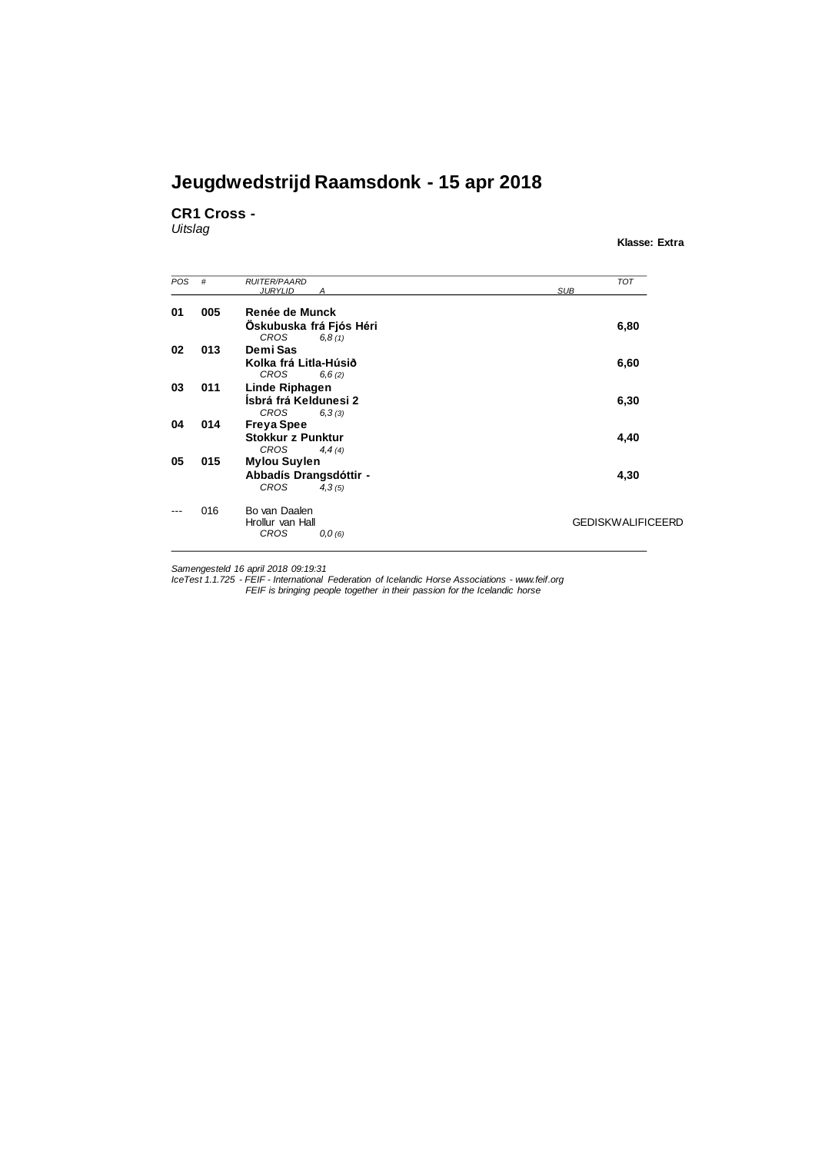**CR1 Cross -**

*Uitslag*

**Klasse: Extra**

| POS | #   | <b>RUITER/PAARD</b>      | <b>TOT</b>               |
|-----|-----|--------------------------|--------------------------|
|     |     | <b>JURYLID</b>           | <b>SUB</b>               |
| 01  | 005 | Renée de Munck           |                          |
|     |     | Oskubuska frá Fjós Héri  | 6,80                     |
|     |     | <b>CROS</b><br>6,8(1)    |                          |
| 02  | 013 | Demi Sas                 |                          |
|     |     | Kolka frá Litla-Húsið    | 6,60                     |
|     |     | <b>CROS</b><br>6,6(2)    |                          |
| 03  | 011 | Linde Riphagen           |                          |
|     |     | Ísbrá frá Keldunesi 2    | 6,30                     |
|     |     | <b>CROS</b><br>6,3(3)    |                          |
| 04  | 014 | <b>Freya Spee</b>        |                          |
|     |     | <b>Stokkur z Punktur</b> | 4,40                     |
|     |     | <b>CROS</b><br>4,4(4)    |                          |
| 05  | 015 | <b>Mylou Suylen</b>      |                          |
|     |     | Abbadís Drangsdóttir -   | 4,30                     |
|     |     | <b>CROS</b><br>4,3(5)    |                          |
|     | 016 | Bo van Daalen            |                          |
|     |     | Hrollur van Hall         | <b>GEDISKWALIFICEERD</b> |
|     |     | <b>CROS</b><br>0,0(6)    |                          |

Samengesteld 16 april 2018 09:19:31<br>IceTest 1.1.725 - FEIF - International Federation of Icelandic Horse Associations - www.feif.org<br>FEIF is bringing people together in their passion for the Icelandic horse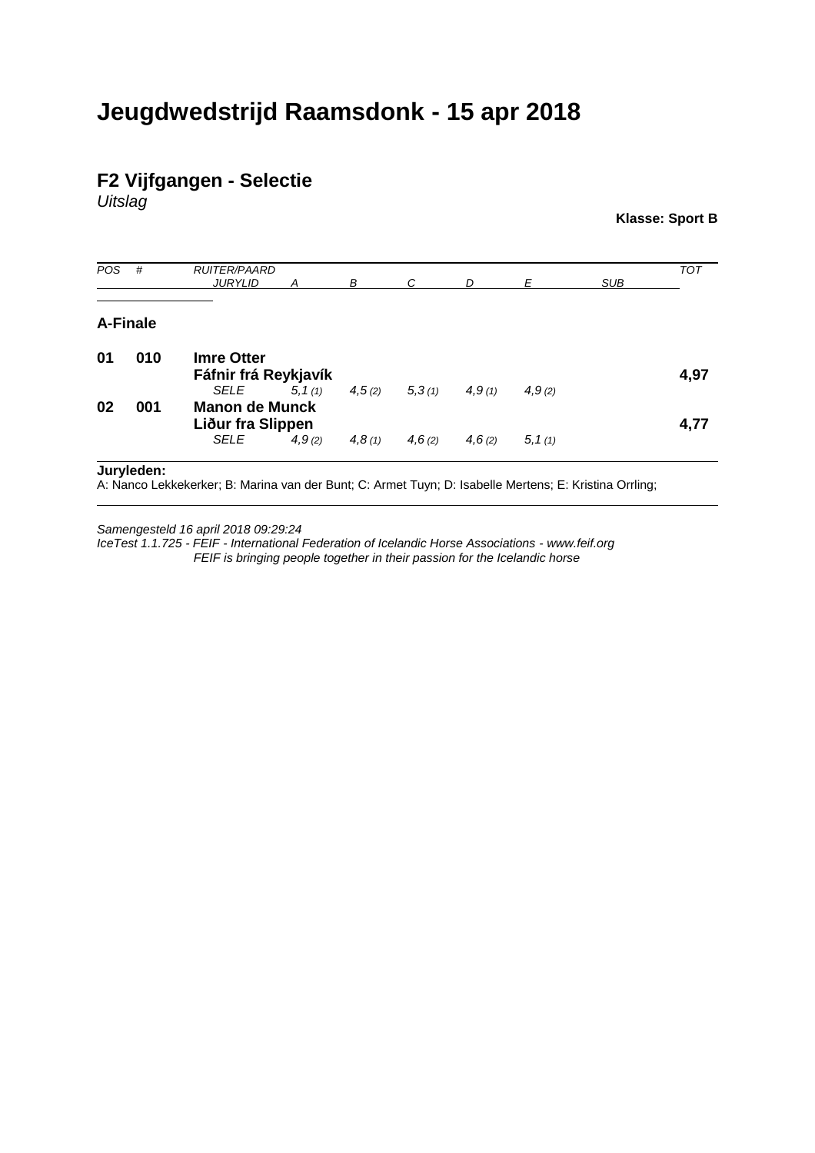#### **F2 Vijfgangen - Selectie**

*Uitslag*

**Klasse: Sport B**

| POS | #        | <b>RUITER/PAARD</b><br><b>JURYLID</b>              | A       | В      | C      | D      | E       | <b>SUB</b> | <b>TOT</b> |
|-----|----------|----------------------------------------------------|---------|--------|--------|--------|---------|------------|------------|
|     | A-Finale |                                                    |         |        |        |        |         |            |            |
| 01  | 010      | <b>Imre Otter</b><br>Fáfnir frá Reykjavík          |         |        |        |        |         |            | 4,97       |
| 02  | 001      | SELE<br><b>Manon de Munck</b><br>Liður fra Slippen | 5, 1(1) | 4,5(2) | 5,3(1) | 4,9(1) | 4,9(2)  |            | 4,77       |
|     |          | SELE                                               | 4,9(2)  | 4,8(1) | 4,6(2) | 4,6(2) | 5, 1(1) |            |            |

**Juryleden:**

A: Nanco Lekkekerker; B: Marina van der Bunt; C: Armet Tuyn; D: Isabelle Mertens; E: Kristina Orrling;

*Samengesteld 16 april 2018 09:29:24*

*IceTest 1.1.725 - FEIF - International Federation of Icelandic Horse Associations - www.feif.org FEIF is bringing people together in their passion for the Icelandic horse*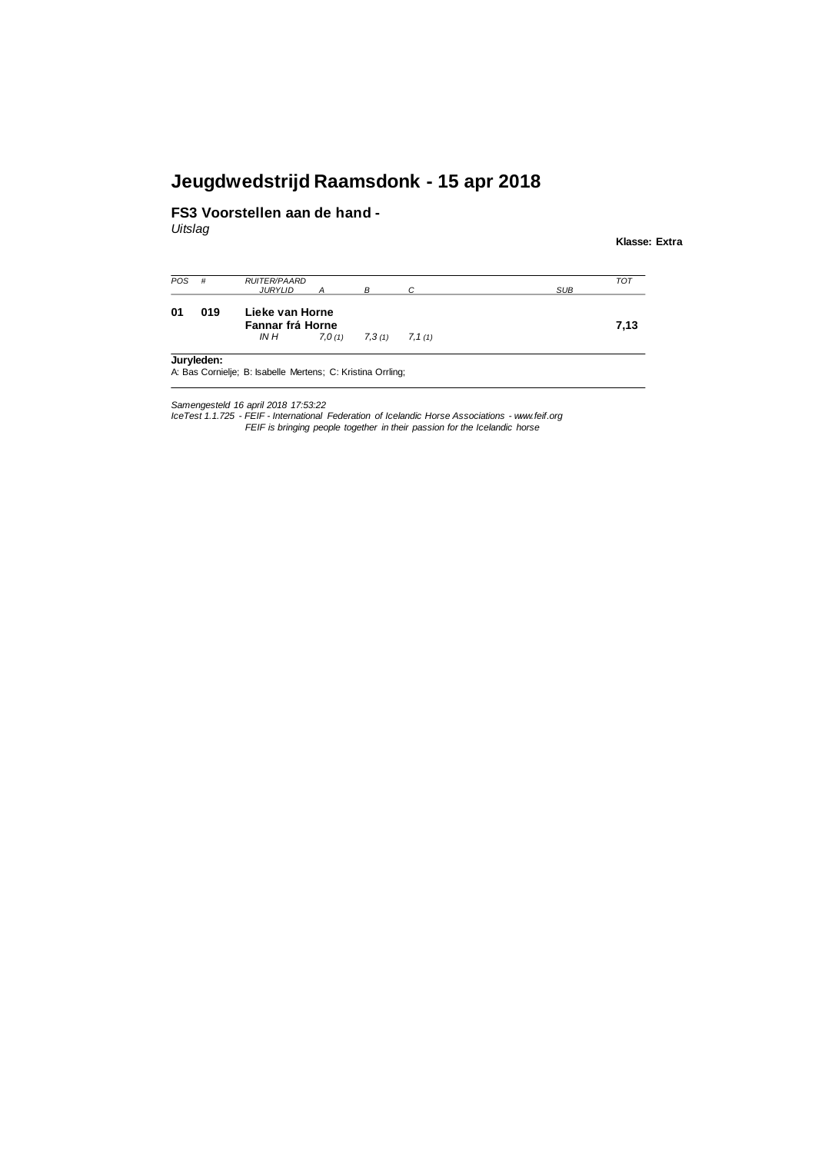#### **FS3 Voorstellen aan de hand -**

*Uitslag*

**Klasse: Extra**

| <b>POS</b> | #   | <b>RUITER/PAARD</b><br><b>JURYLID</b> |        |        |         | <b>SUB</b> | <b>TOT</b> |  |
|------------|-----|---------------------------------------|--------|--------|---------|------------|------------|--|
| 01         | 019 | Lieke van Horne<br>Fannar frá Horne   |        |        |         |            |            |  |
|            |     | IN H                                  | 7.0(1) | 7,3(1) | 7, 1(1) |            |            |  |

Samengesteld 16 april 2018 17:53:22<br>IceTest 1.1.725 - FEIF - International Federation of Icelandic Horse Associations - www.feif.org *FEIF is bringing people together in their passion for the Icelandic horse*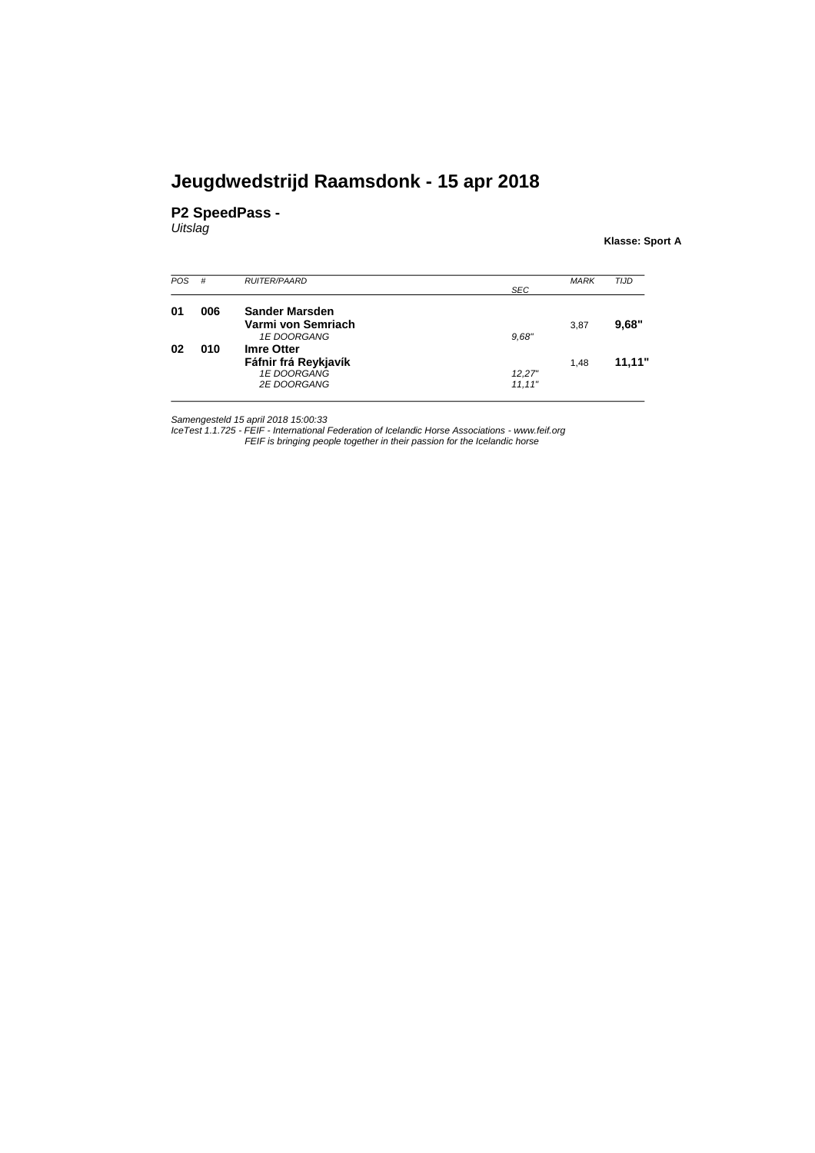#### **P2 SpeedPass -**

*Uitslag*

**Klasse: Sport A**

| <b>POS</b> | #   | <b>RUITER/PAARD</b>  |         | <b>MARK</b> | <b>TIJD</b> |
|------------|-----|----------------------|---------|-------------|-------------|
|            |     |                      | SEC     |             |             |
| 01         | 006 | Sander Marsden       |         |             |             |
|            |     | Varmi von Semriach   |         | 3,87        | 9.68"       |
|            |     | 1E DOORGANG          | 9,68"   |             |             |
| 02         | 010 | <b>Imre Otter</b>    |         |             |             |
|            |     | Fáfnir frá Reykjavík |         | 1.48        | 11,11"      |
|            |     | 1E DOORGANG          | 12.27"  |             |             |
|            |     | <b>2E DOORGANG</b>   | 11, 11" |             |             |

Samengesteld 15 april 2018 15:00:33<br>IceTest 1.1.725 - FEIF - International Federation of Icelandic Horse Associations - www.feif.org<br>FEIF is bringing people together in their passion for the Icelandic horse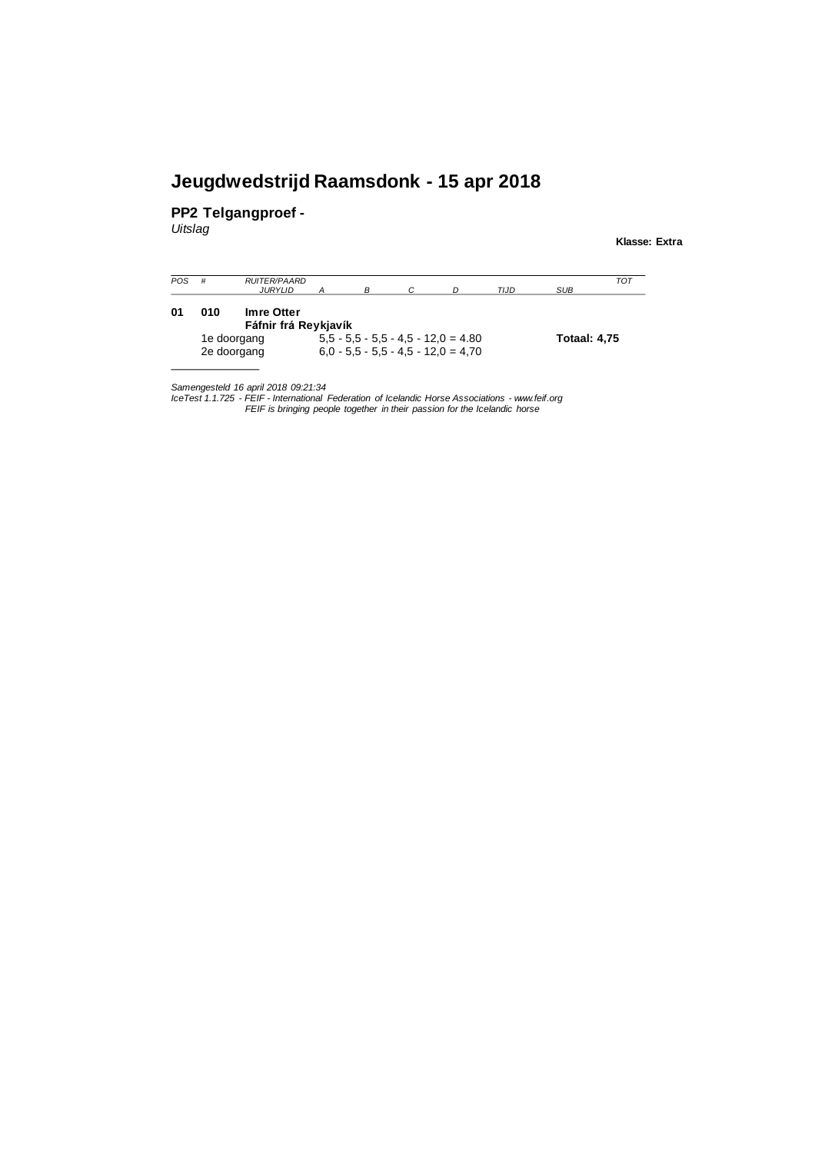**PP2 Telgangproef -**

*Uitslag*

**Klasse: Extra**

| <b>POS</b> | #   | <b>RUITER/PAARD</b><br>JURYLID     |  |                                                                                | TIJD | SUB                 | TOT |
|------------|-----|------------------------------------|--|--------------------------------------------------------------------------------|------|---------------------|-----|
| 01         | 010 | Imre Otter<br>Fáfnir frá Reykjavík |  |                                                                                |      |                     |     |
|            |     | 1e doorgang<br>2e doorgang         |  | $5.5 - 5.5 - 5.5 - 4.5 - 12.0 = 4.80$<br>$6.0 - 5.5 - 5.5 - 4.5 - 12.0 = 4.70$ |      | <b>Totaal: 4,75</b> |     |

*Samengesteld 16 april 2018 09:21:34*

lceTest 1.1.725 - FEIF - International Federation of Icelandic Horse Associations - www.feif.org<br>FEIF is bringing people together in their passion for the Icelandic horse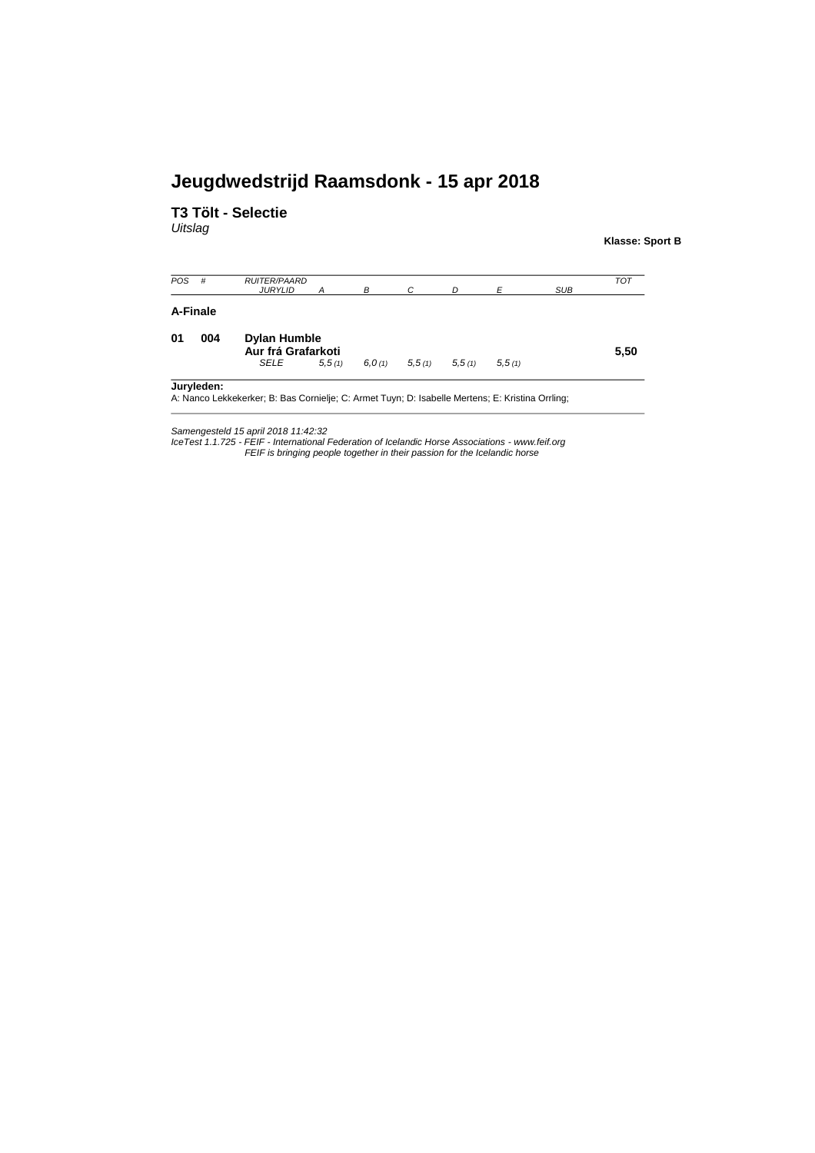#### **T3 Tölt - Selectie**

*Uitslag*

**Klasse: Sport B**

| <b>POS</b> | #        | <b>RUITER/PAARD</b><br><b>JURYLID</b>     | A      | В      | C      | D      | E      | <b>SUB</b> | <b>TOT</b> |
|------------|----------|-------------------------------------------|--------|--------|--------|--------|--------|------------|------------|
|            | A-Finale |                                           |        |        |        |        |        |            |            |
| 01         | 004      | <b>Dylan Humble</b><br>Aur frá Grafarkoti |        |        |        |        |        |            | 5,50       |
|            |          | SELE                                      | 5,5(1) | 6.0(1) | 5,5(1) | 5,5(1) | 5,5(1) |            |            |

Samengesteld 15 april 2018 11:42:32<br>IceTest 1.1.725 - FEIF - International Federation of Icelandic Horse Associations - www.feif.org<br>FEIF is bringing people together in their passion for the Icelandic horse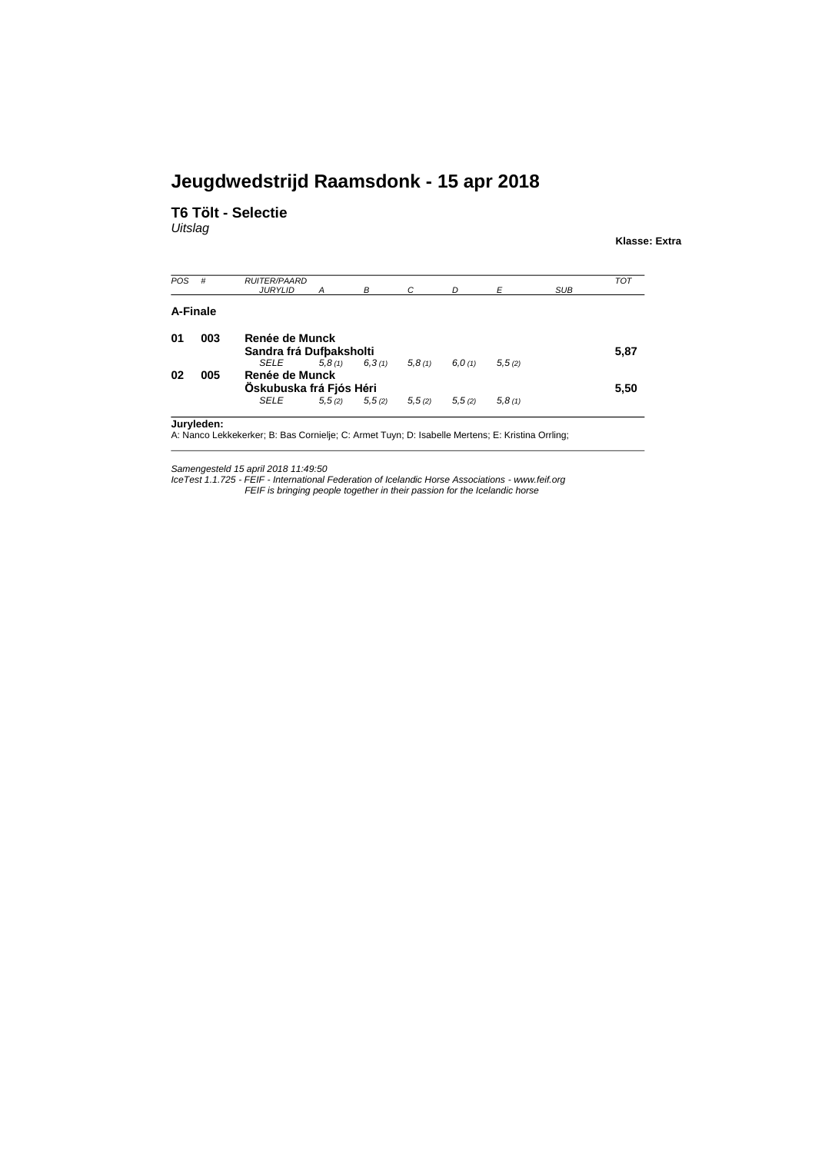**T6 Tölt - Selectie**

*Uitslag*

**Klasse: Extra**

| POS | #        | <b>RUITER/PAARD</b><br><b>JURYLID</b>     | A      | B                 | C      | D      | E       | <b>SUB</b> | <b>TOT</b> |  |
|-----|----------|-------------------------------------------|--------|-------------------|--------|--------|---------|------------|------------|--|
|     | A-Finale |                                           |        |                   |        |        |         |            |            |  |
| 01  | 003      | Renée de Munck<br>Sandra frá Dufbaksholti |        |                   |        |        |         |            |            |  |
|     |          | <b>SELE</b>                               | 5.8(1) | 6,3(1)            | 5,8(1) | 6.0(1) | 5, 5(2) |            | 5,87       |  |
| 02  | 005      | Renée de Munck                            |        |                   |        |        |         |            |            |  |
|     |          | Öskubuska frá Fjós Héri                   |        |                   |        |        |         |            | 5,50       |  |
|     |          | SELE                                      |        | $5,5(2)$ $5,5(2)$ | 5,5(2) | 5,5(2) | 5,8(1)  |            |            |  |

ker; B: Bas Cornielje; C: Armet Tuyn; D: Isabelle Mertens; E: Kristina Orrling;

Samengesteld 15 april 2018 11:49:50<br>IceTest 1.1.725 - FEIF - International Federation of Icelandic Horse Associations - www.feif.org<br>FEIF is bringing people together in their passion for the Icelandic horse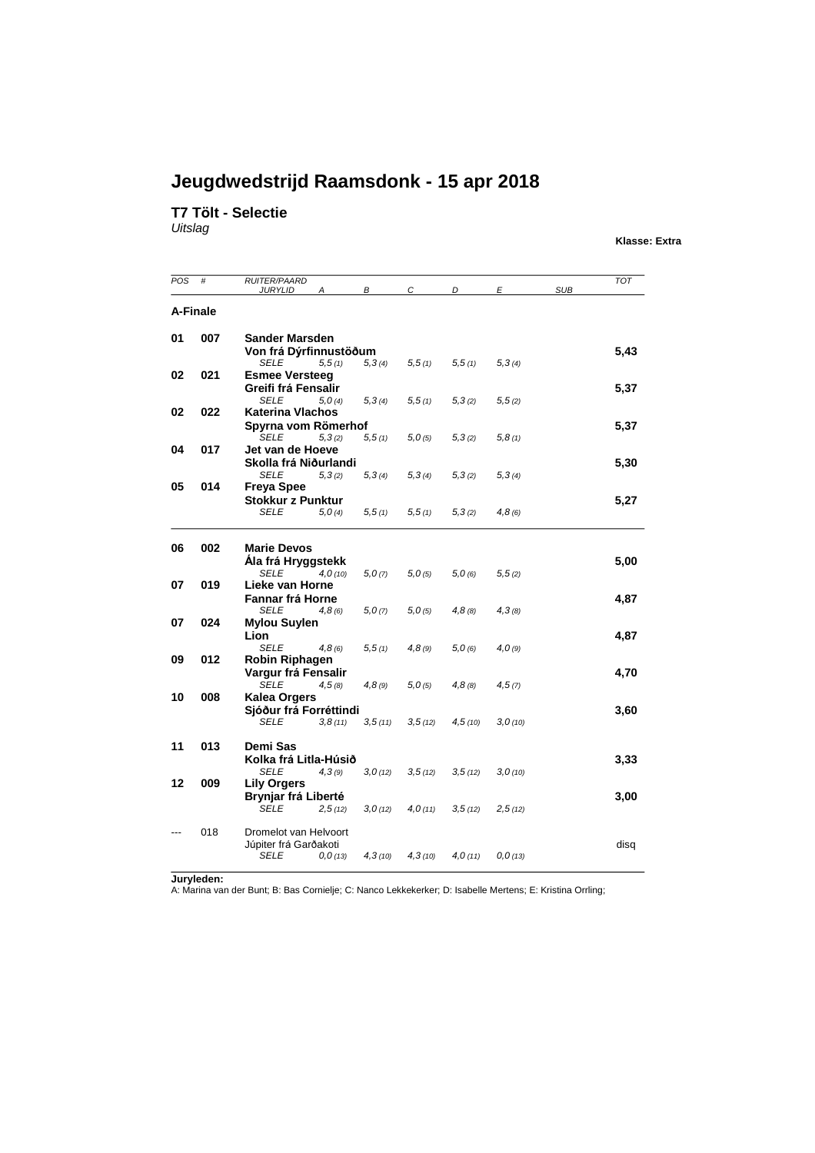#### **T7 Tölt - Selectie**

*Uitslag*

**Klasse: Extra**

| POS      | #   | <b>RUITER/PAARD</b><br><b>JURYLID</b><br>А | В       | $\mathcal{C}$ | D       | $\mathbf{E}$ | <b>SUB</b> | <b>TOT</b> |
|----------|-----|--------------------------------------------|---------|---------------|---------|--------------|------------|------------|
| A-Finale |     |                                            |         |               |         |              |            |            |
|          |     |                                            |         |               |         |              |            |            |
| 01       | 007 | <b>Sander Marsden</b>                      |         |               |         |              |            |            |
|          |     | Von frá Dýrfinnustöðum                     |         |               |         |              |            | 5,43       |
| 02       | 021 | SELE<br>5,5(1)<br><b>Esmee Versteeg</b>    | 5,3(4)  | 5, 5(1)       | 5,5(1)  | 5,3(4)       |            |            |
|          |     | Greifi frá Fensalir                        |         |               |         |              |            | 5,37       |
|          |     | <b>SELE</b><br>5.0(4)                      | 5,3(4)  | 5, 5(1)       | 5,3(2)  | 5, 5(2)      |            |            |
| 02       | 022 | Katerina Vlachos                           |         |               |         |              |            |            |
|          |     | Spyrna vom Römerhof                        |         |               |         |              |            | 5,37       |
|          |     | SELE<br>5,3(2)                             | 5, 5(1) | 5,0(5)        | 5,3(2)  | 5,8(1)       |            |            |
| 04       | 017 | Jet van de Hoeve                           |         |               |         |              |            |            |
|          |     | Skolla frá Niðurlandi                      |         |               |         |              |            | 5,30       |
|          |     | <b>SELE</b><br>5,3(2)                      | 5,3(4)  | 5,3(4)        | 5,3(2)  | 5,3(4)       |            |            |
| 05       | 014 | <b>Freya Spee</b>                          |         |               |         |              |            |            |
|          |     | <b>Stokkur z Punktur</b>                   |         |               |         |              |            | 5,27       |
|          |     | <b>SELE</b><br>5.0(4)                      | 5, 5(1) | 5, 5(1)       | 5,3(2)  | 4,8(6)       |            |            |
|          | 002 |                                            |         |               |         |              |            |            |
| 06       |     | <b>Marie Devos</b>                         |         |               |         |              |            |            |
|          |     | Ála frá Hryggstekk<br>SELE<br>4.0(10)      | 5,0(7)  | 5,0(5)        | 5.0(6)  | 5, 5(2)      |            | 5,00       |
| 07       | 019 | Lieke van Horne                            |         |               |         |              |            |            |
|          |     | <b>Fannar frá Horne</b>                    |         |               |         |              |            | 4,87       |
|          |     | <b>SELE</b><br>4,8(6)                      | 5,0(7)  | 5,0(5)        | 4,8(8)  | 4,3(8)       |            |            |
| 07       | 024 | <b>Mylou Suylen</b>                        |         |               |         |              |            |            |
|          |     | Lion                                       |         |               |         |              |            | 4,87       |
|          |     | <b>SELE</b><br>4,8(6)                      | 5,5(1)  | 4,8(9)        | 5,0(6)  | 4,0(9)       |            |            |
| 09       | 012 | <b>Robin Riphagen</b>                      |         |               |         |              |            |            |
|          |     | Vargur frá Fensalir                        |         |               |         |              |            | 4,70       |
|          |     | <b>SELE</b><br>4,5(8)                      | 4,8(9)  | 5,0(5)        | 4,8(8)  | 4,5(7)       |            |            |
| 10       | 008 | <b>Kalea Orgers</b>                        |         |               |         |              |            |            |
|          |     | Sjóður frá Forréttindi                     |         |               |         |              |            | 3,60       |
|          |     | <b>SELE</b><br>3,8(11)                     | 3,5(11) | 3, 5(12)      | 4,5(10) | 3,0(10)      |            |            |
| 11       | 013 | Demi Sas                                   |         |               |         |              |            |            |
|          |     | Kolka frá Litla-Húsið                      |         |               |         |              |            | 3,33       |
|          |     | SELE<br>4,3(9)                             | 3,0(12) | 3,5(12)       | 3,5(12) | 3,0(10)      |            |            |
| 12       | 009 | <b>Lily Orgers</b>                         |         |               |         |              |            |            |
|          |     | Brynjar frá Liberté                        |         |               |         |              |            | 3,00       |
|          |     | <b>SELE</b><br>2,5(12)                     | 3,0(12) | 4,0(11)       | 3,5(12) | 2,5(12)      |            |            |
|          |     |                                            |         |               |         |              |            |            |
|          | 018 | Dromelot van Helvoort                      |         |               |         |              |            |            |
|          |     | Júpiter frá Garðakoti                      |         |               |         |              |            | disq       |
|          |     | SELE<br>0,0(13)                            | 4,3(10) | 4,3(10)       | 4,0(11) | 0,0(13)      |            |            |

**Juryleden:**<br>A: Marina van der Bunt; B: Bas Cornielje; C: Nanco Lekkekerker; D: Isabelle Mertens; E: Kristina Orrling;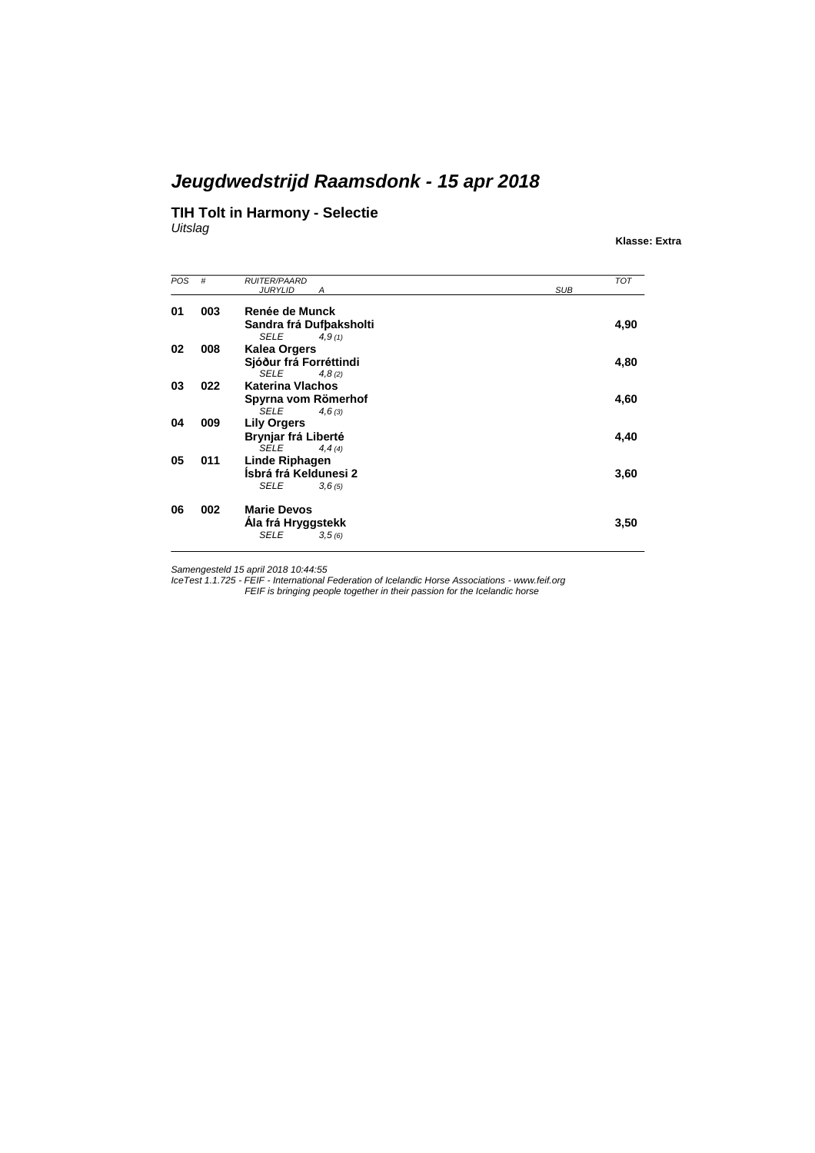#### **TIH Tolt in Harmony - Selectie**

*Uitslag*

**Klasse: Extra**

| POS | #   | <b>RUITER/PAARD</b>               | <b>TOT</b> |
|-----|-----|-----------------------------------|------------|
|     |     | <b>JURYLID</b><br><b>SUB</b><br>А |            |
| 01  | 003 | Renée de Munck                    |            |
|     |     |                                   |            |
|     |     | Sandra frá Dufbaksholti           | 4,90       |
|     |     | <b>SELE</b><br>4.9(1)             |            |
| 02  | 008 | <b>Kalea Orgers</b>               |            |
|     |     | Sjóður frá Forréttindi            | 4,80       |
|     |     | <b>SELE</b><br>4,8(2)             |            |
| 03  | 022 | <b>Katerina Vlachos</b>           |            |
|     |     | Spyrna vom Römerhof               | 4,60       |
|     |     | <b>SELE</b><br>4,6(3)             |            |
| 04  | 009 | <b>Lily Orgers</b>                |            |
|     |     |                                   |            |
|     |     | Brynjar frá Liberté               | 4,40       |
|     |     | <b>SELE</b><br>4, 4(4)            |            |
| 05  | 011 | Linde Riphagen                    |            |
|     |     | Ísbrá frá Keldunesi 2             | 3,60       |
|     |     | <b>SELE</b><br>3,6(5)             |            |
|     |     |                                   |            |
| 06  | 002 | <b>Marie Devos</b>                |            |
|     |     |                                   |            |
|     |     | Ála frá Hryggstekk                | 3,50       |
|     |     | <b>SELE</b><br>3,5(6)             |            |

Samengesteld 15 april 2018 10:44:55<br>IceTest 1.1.725 - FEIF - International Federation of Icelandic Horse Associations - www.feif.org<br>FEIF is bringing people together in their passion for the Icelandic horse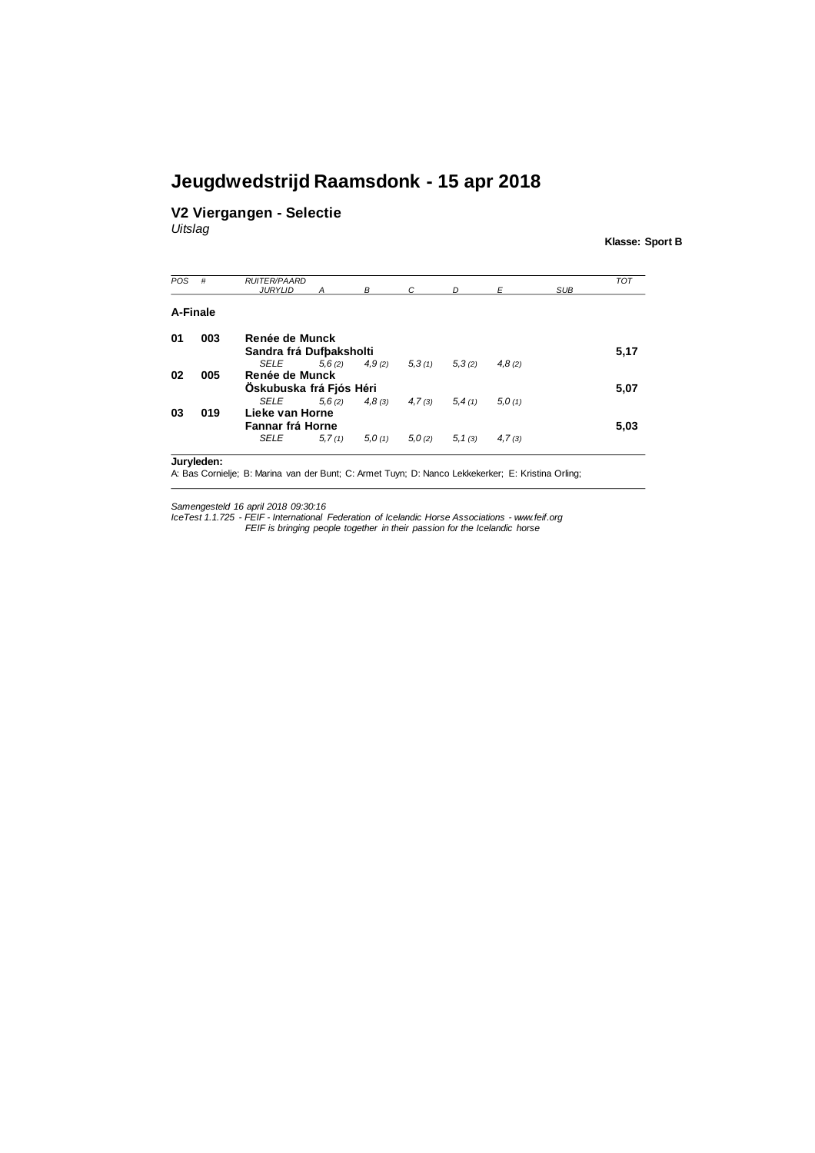#### **V2 Viergangen - Selectie**

*Uitslag*

**Klasse: Sport B**

| POS | #        | <b>RUITER/PAARD</b><br><b>JURYLID</b> |        | R      |        | <sub>D</sub> |        | <b>SUB</b> | <b>TOT</b> |
|-----|----------|---------------------------------------|--------|--------|--------|--------------|--------|------------|------------|
|     | A-Finale |                                       |        |        |        |              |        |            |            |
| 01  | 003      | Renée de Munck                        |        |        |        |              |        |            |            |
|     |          | Sandra frá Dufbaksholti               |        |        |        |              |        |            | 5,17       |
|     |          | <b>SELE</b>                           | 5,6(2) | 4.9(2) | 5,3(1) | 5,3(2)       | 4,8(2) |            |            |
| 02  | 005      | Renée de Munck                        |        |        |        |              |        |            |            |
|     |          | Oskubuska frá Fjós Héri               |        |        |        |              |        |            | 5,07       |
|     |          | <b>SELE</b>                           | 5,6(2) | 4,8(3) | 4,7(3) | 5,4(1)       | 5.0(1) |            |            |
| 03  | 019      | Lieke van Horne                       |        |        |        |              |        |            |            |
|     |          | Fannar frá Horne                      |        |        |        |              |        |            | 5,03       |
|     |          | <b>SELE</b>                           | 5,7(1) | 5.0(1) | 5.0(2) | 5, 1(3)      | 4,7(3) |            |            |

**Juryleden:**

A: Bas Cornielje; B: Marina van der Bunt; C: Armet Tuyn; D: Nanco Lekkekerker; E: Kristina Orling;

Samengesteld 16 april 2018 09:30:16<br>IceTest 1.1.725 - FEIF - International Federation of Icelandic Horse Associations - www.feif.org *FEIF is bringing people together in their passion for the Icelandic horse*